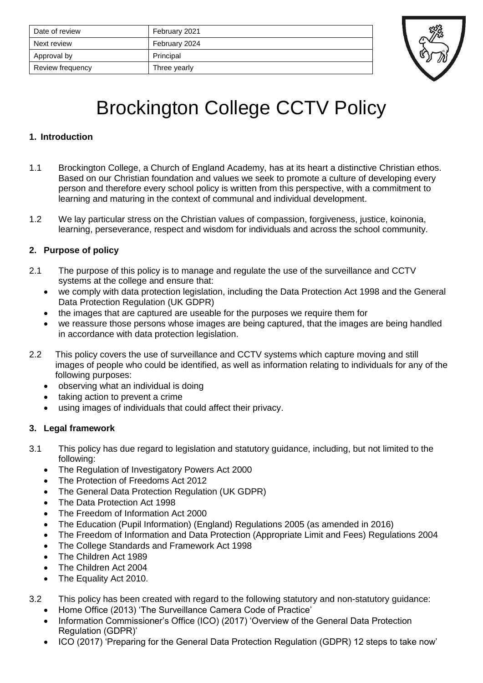| Date of review   | February 2021 |
|------------------|---------------|
| Next review      | February 2024 |
| Approval by      | Principal     |
| Review frequency | Three yearly  |



# Brockington College CCTV Policy

## **1. Introduction**

- 1.1 Brockington College, a Church of England Academy, has at its heart a distinctive Christian ethos. Based on our Christian foundation and values we seek to promote a culture of developing every person and therefore every school policy is written from this perspective, with a commitment to learning and maturing in the context of communal and individual development.
- 1.2 We lay particular stress on the Christian values of compassion, forgiveness, justice, koinonia, learning, perseverance, respect and wisdom for individuals and across the school community.

## **2. Purpose of policy**

- 2.1 The purpose of this policy is to manage and regulate the use of the surveillance and CCTV systems at the college and ensure that:
	- we comply with data protection legislation, including the Data Protection Act 1998 and the General Data Protection Regulation (UK GDPR)
	- the images that are captured are useable for the purposes we require them for
	- we reassure those persons whose images are being captured, that the images are being handled in accordance with data protection legislation.
- 2.2 This policy covers the use of surveillance and CCTV systems which capture moving and still images of people who could be identified, as well as information relating to individuals for any of the following purposes:
	- observing what an individual is doing
	- taking action to prevent a crime
	- using images of individuals that could affect their privacy.

## **3. Legal framework**

- 3.1 This policy has due regard to legislation and statutory guidance, including, but not limited to the following:
	- The Regulation of Investigatory Powers Act 2000
	- The Protection of Freedoms Act 2012
	- The General Data Protection Regulation (UK GDPR)
	- The Data Protection Act 1998
	- The Freedom of Information Act 2000
	- The Education (Pupil Information) (England) Regulations 2005 (as amended in 2016)
	- The Freedom of Information and Data Protection (Appropriate Limit and Fees) Regulations 2004
	- The College Standards and Framework Act 1998
	- The Children Act 1989
	- The Children Act 2004
	- The Equality Act 2010.

3.2 This policy has been created with regard to the following statutory and non-statutory guidance:

- Home Office (2013) 'The Surveillance Camera Code of Practice'
- Information Commissioner's Office (ICO) (2017) 'Overview of the General Data Protection Regulation (GDPR)'
- ICO (2017) 'Preparing for the General Data Protection Regulation (GDPR) 12 steps to take now'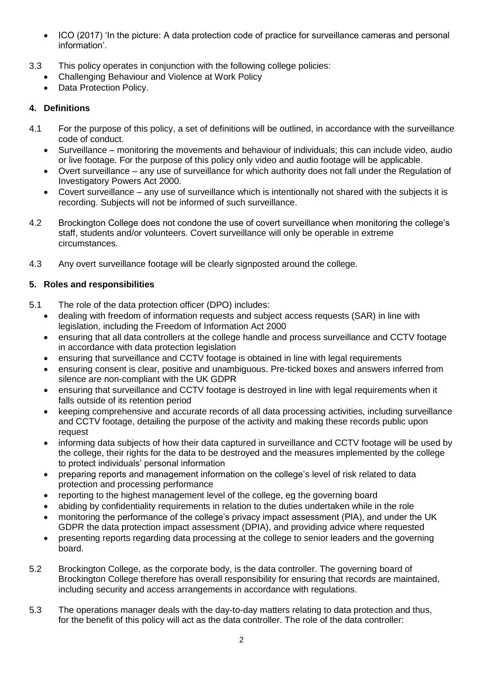- ICO (2017) 'In the picture: A data protection code of practice for surveillance cameras and personal information'.
- 3.3 This policy operates in conjunction with the following college policies:
	- Challenging Behaviour and Violence at Work Policy
	- Data Protection Policy.

## **4. Definitions**

- 4.1 For the purpose of this policy, a set of definitions will be outlined, in accordance with the surveillance code of conduct.
	- Surveillance monitoring the movements and behaviour of individuals; this can include video, audio or live footage. For the purpose of this policy only video and audio footage will be applicable.
	- Overt surveillance any use of surveillance for which authority does not fall under the Regulation of Investigatory Powers Act 2000.
	- Covert surveillance any use of surveillance which is intentionally not shared with the subjects it is recording. Subjects will not be informed of such surveillance.
- 4.2 Brockington College does not condone the use of covert surveillance when monitoring the college's staff, students and/or volunteers. Covert surveillance will only be operable in extreme circumstances.
- 4.3 Any overt surveillance footage will be clearly signposted around the college.

## **5. Roles and responsibilities**

- 5.1 The role of the data protection officer (DPO) includes:
	- dealing with freedom of information requests and subject access requests (SAR) in line with legislation, including the Freedom of Information Act 2000
	- ensuring that all data controllers at the college handle and process surveillance and CCTV footage in accordance with data protection legislation
	- ensuring that surveillance and CCTV footage is obtained in line with legal requirements
	- ensuring consent is clear, positive and unambiguous. Pre-ticked boxes and answers inferred from silence are non-compliant with the UK GDPR
	- ensuring that surveillance and CCTV footage is destroyed in line with legal requirements when it falls outside of its retention period
	- keeping comprehensive and accurate records of all data processing activities, including surveillance and CCTV footage, detailing the purpose of the activity and making these records public upon request
	- informing data subjects of how their data captured in surveillance and CCTV footage will be used by the college, their rights for the data to be destroyed and the measures implemented by the college to protect individuals' personal information
	- preparing reports and management information on the college's level of risk related to data protection and processing performance
	- reporting to the highest management level of the college, eg the governing board
	- abiding by confidentiality requirements in relation to the duties undertaken while in the role
	- monitoring the performance of the college's privacy impact assessment (PIA), and under the UK GDPR the data protection impact assessment (DPIA), and providing advice where requested
	- presenting reports regarding data processing at the college to senior leaders and the governing board.
- 5.2 Brockington College, as the corporate body, is the data controller. The governing board of Brockington College therefore has overall responsibility for ensuring that records are maintained, including security and access arrangements in accordance with regulations.
- 5.3 The operations manager deals with the day-to-day matters relating to data protection and thus, for the benefit of this policy will act as the data controller. The role of the data controller: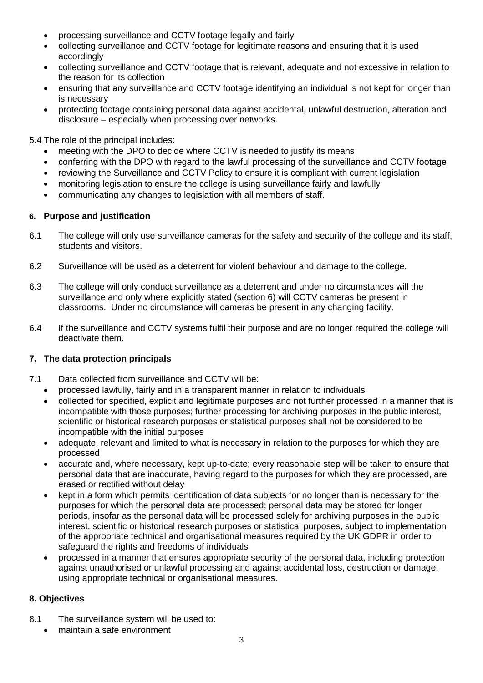- processing surveillance and CCTV footage legally and fairly
- collecting surveillance and CCTV footage for legitimate reasons and ensuring that it is used accordingly
- collecting surveillance and CCTV footage that is relevant, adequate and not excessive in relation to the reason for its collection
- ensuring that any surveillance and CCTV footage identifying an individual is not kept for longer than is necessary
- protecting footage containing personal data against accidental, unlawful destruction, alteration and disclosure – especially when processing over networks.

5.4 The role of the principal includes:

- meeting with the DPO to decide where CCTV is needed to justify its means
- conferring with the DPO with regard to the lawful processing of the surveillance and CCTV footage
- reviewing the Surveillance and CCTV Policy to ensure it is compliant with current legislation
- monitoring legislation to ensure the college is using surveillance fairly and lawfully
- communicating any changes to legislation with all members of staff.

#### **6. Purpose and justification**

- 6.1 The college will only use surveillance cameras for the safety and security of the college and its staff, students and visitors.
- 6.2 Surveillance will be used as a deterrent for violent behaviour and damage to the college.
- 6.3 The college will only conduct surveillance as a deterrent and under no circumstances will the surveillance and only where explicitly stated (section 6) will CCTV cameras be present in classrooms. Under no circumstance will cameras be present in any changing facility.
- 6.4 If the surveillance and CCTV systems fulfil their purpose and are no longer required the college will deactivate them.

## **7. The data protection principals**

- 7.1 Data collected from surveillance and CCTV will be:
	- processed lawfully, fairly and in a transparent manner in relation to individuals
		- collected for specified, explicit and legitimate purposes and not further processed in a manner that is incompatible with those purposes; further processing for archiving purposes in the public interest, scientific or historical research purposes or statistical purposes shall not be considered to be incompatible with the initial purposes
	- adequate, relevant and limited to what is necessary in relation to the purposes for which they are processed
	- accurate and, where necessary, kept up-to-date; every reasonable step will be taken to ensure that personal data that are inaccurate, having regard to the purposes for which they are processed, are erased or rectified without delay
	- kept in a form which permits identification of data subjects for no longer than is necessary for the purposes for which the personal data are processed; personal data may be stored for longer periods, insofar as the personal data will be processed solely for archiving purposes in the public interest, scientific or historical research purposes or statistical purposes, subject to implementation of the appropriate technical and organisational measures required by the UK GDPR in order to safeguard the rights and freedoms of individuals
	- processed in a manner that ensures appropriate security of the personal data, including protection against unauthorised or unlawful processing and against accidental loss, destruction or damage, using appropriate technical or organisational measures.

## **8. Objectives**

- 8.1 The surveillance system will be used to:
	- maintain a safe environment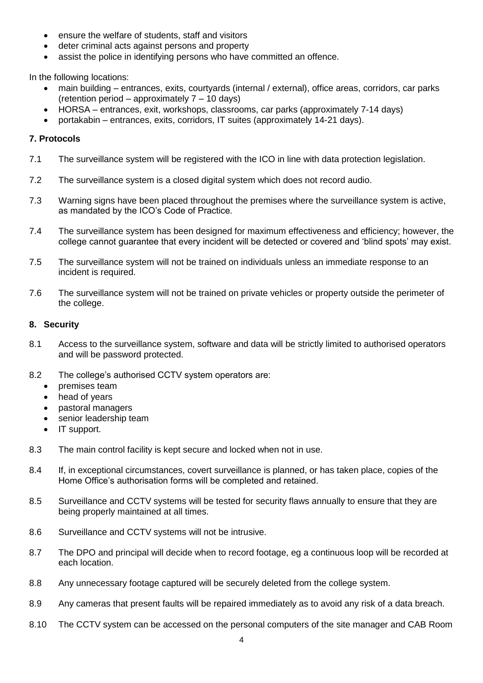- ensure the welfare of students, staff and visitors
- deter criminal acts against persons and property
- assist the police in identifying persons who have committed an offence.

In the following locations:

- main building entrances, exits, courtyards (internal / external), office areas, corridors, car parks (retention period – approximately 7 – 10 days)
- HORSA entrances, exit, workshops, classrooms, car parks (approximately 7-14 days)
- portakabin entrances, exits, corridors, IT suites (approximately 14-21 days).

#### **7. Protocols**

- 7.1 The surveillance system will be registered with the ICO in line with data protection legislation.
- 7.2 The surveillance system is a closed digital system which does not record audio.
- 7.3 Warning signs have been placed throughout the premises where the surveillance system is active, as mandated by the ICO's Code of Practice.
- 7.4 The surveillance system has been designed for maximum effectiveness and efficiency; however, the college cannot guarantee that every incident will be detected or covered and 'blind spots' may exist.
- 7.5 The surveillance system will not be trained on individuals unless an immediate response to an incident is required.
- 7.6 The surveillance system will not be trained on private vehicles or property outside the perimeter of the college.

#### **8. Security**

- 8.1 Access to the surveillance system, software and data will be strictly limited to authorised operators and will be password protected.
- 8.2 The college's authorised CCTV system operators are:
	- premises team
	- head of years
	- pastoral managers
	- senior leadership team
	- IT support.
- 8.3 The main control facility is kept secure and locked when not in use.
- 8.4 If, in exceptional circumstances, covert surveillance is planned, or has taken place, copies of the Home Office's authorisation forms will be completed and retained.
- 8.5 Surveillance and CCTV systems will be tested for security flaws annually to ensure that they are being properly maintained at all times.
- 8.6 Surveillance and CCTV systems will not be intrusive.
- 8.7 The DPO and principal will decide when to record footage, eg a continuous loop will be recorded at each location.
- 8.8 Any unnecessary footage captured will be securely deleted from the college system.
- 8.9 Any cameras that present faults will be repaired immediately as to avoid any risk of a data breach.
- 8.10 The CCTV system can be accessed on the personal computers of the site manager and CAB Room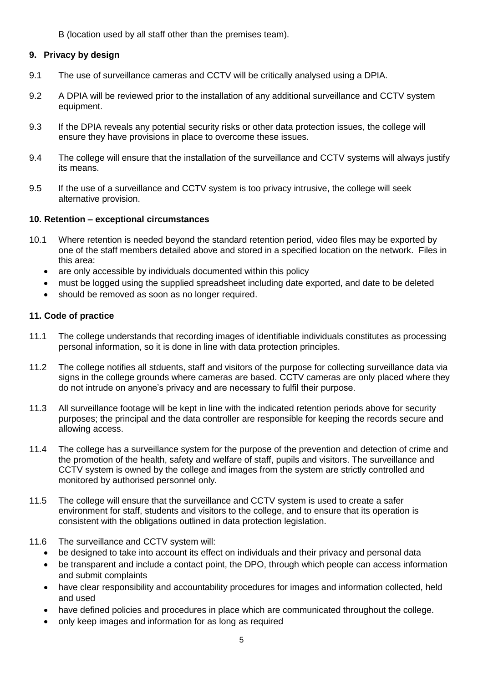B (location used by all staff other than the premises team).

### **9. Privacy by design**

- 9.1 The use of surveillance cameras and CCTV will be critically analysed using a DPIA.
- 9.2 A DPIA will be reviewed prior to the installation of any additional surveillance and CCTV system equipment.
- 9.3 If the DPIA reveals any potential security risks or other data protection issues, the college will ensure they have provisions in place to overcome these issues.
- 9.4 The college will ensure that the installation of the surveillance and CCTV systems will always justify its means.
- 9.5 If the use of a surveillance and CCTV system is too privacy intrusive, the college will seek alternative provision.

#### **10. Retention – exceptional circumstances**

- 10.1 Where retention is needed beyond the standard retention period, video files may be exported by one of the staff members detailed above and stored in a specified location on the network. Files in this area:
	- are only accessible by individuals documented within this policy
	- must be logged using the supplied spreadsheet including date exported, and date to be deleted
	- should be removed as soon as no longer required.

#### **11. Code of practice**

- 11.1 The college understands that recording images of identifiable individuals constitutes as processing personal information, so it is done in line with data protection principles.
- 11.2 The college notifies all stduents, staff and visitors of the purpose for collecting surveillance data via signs in the college grounds where cameras are based. CCTV cameras are only placed where they do not intrude on anyone's privacy and are necessary to fulfil their purpose.
- 11.3 All surveillance footage will be kept in line with the indicated retention periods above for security purposes; the principal and the data controller are responsible for keeping the records secure and allowing access.
- 11.4 The college has a surveillance system for the purpose of the prevention and detection of crime and the promotion of the health, safety and welfare of staff, pupils and visitors. The surveillance and CCTV system is owned by the college and images from the system are strictly controlled and monitored by authorised personnel only.
- 11.5 The college will ensure that the surveillance and CCTV system is used to create a safer environment for staff, students and visitors to the college, and to ensure that its operation is consistent with the obligations outlined in data protection legislation.
- 11.6 The surveillance and CCTV system will:
	- be designed to take into account its effect on individuals and their privacy and personal data
	- be transparent and include a contact point, the DPO, through which people can access information and submit complaints
	- have clear responsibility and accountability procedures for images and information collected, held and used
	- have defined policies and procedures in place which are communicated throughout the college.
	- only keep images and information for as long as required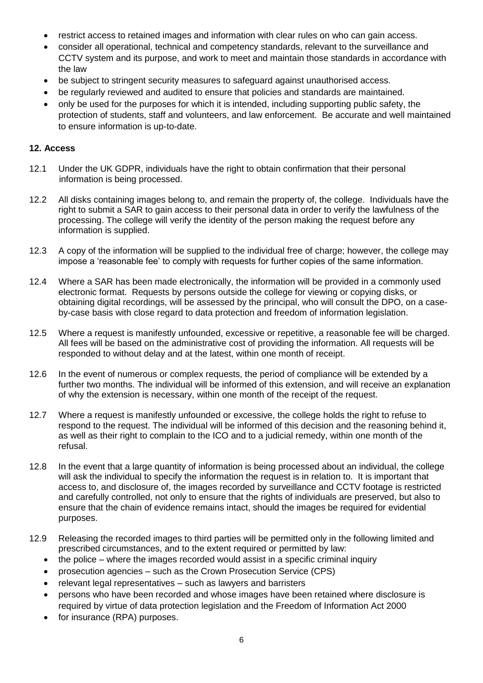- restrict access to retained images and information with clear rules on who can gain access.
- consider all operational, technical and competency standards, relevant to the surveillance and CCTV system and its purpose, and work to meet and maintain those standards in accordance with the law
- be subject to stringent security measures to safeguard against unauthorised access.
- be regularly reviewed and audited to ensure that policies and standards are maintained.
- only be used for the purposes for which it is intended, including supporting public safety, the protection of students, staff and volunteers, and law enforcement. Be accurate and well maintained to ensure information is up-to-date.

#### **12. Access**

- 12.1 Under the UK GDPR, individuals have the right to obtain confirmation that their personal information is being processed.
- 12.2 All disks containing images belong to, and remain the property of, the college. Individuals have the right to submit a SAR to gain access to their personal data in order to verify the lawfulness of the processing. The college will verify the identity of the person making the request before any information is supplied.
- 12.3 A copy of the information will be supplied to the individual free of charge; however, the college may impose a 'reasonable fee' to comply with requests for further copies of the same information.
- 12.4 Where a SAR has been made electronically, the information will be provided in a commonly used electronic format. Requests by persons outside the college for viewing or copying disks, or obtaining digital recordings, will be assessed by the principal, who will consult the DPO, on a caseby-case basis with close regard to data protection and freedom of information legislation.
- 12.5 Where a request is manifestly unfounded, excessive or repetitive, a reasonable fee will be charged. All fees will be based on the administrative cost of providing the information. All requests will be responded to without delay and at the latest, within one month of receipt.
- 12.6 In the event of numerous or complex requests, the period of compliance will be extended by a further two months. The individual will be informed of this extension, and will receive an explanation of why the extension is necessary, within one month of the receipt of the request.
- 12.7 Where a request is manifestly unfounded or excessive, the college holds the right to refuse to respond to the request. The individual will be informed of this decision and the reasoning behind it, as well as their right to complain to the ICO and to a judicial remedy, within one month of the refusal.
- 12.8 In the event that a large quantity of information is being processed about an individual, the college will ask the individual to specify the information the request is in relation to. It is important that access to, and disclosure of, the images recorded by surveillance and CCTV footage is restricted and carefully controlled, not only to ensure that the rights of individuals are preserved, but also to ensure that the chain of evidence remains intact, should the images be required for evidential purposes.
- 12.9 Releasing the recorded images to third parties will be permitted only in the following limited and prescribed circumstances, and to the extent required or permitted by law:
	- the police where the images recorded would assist in a specific criminal inquiry
	- prosecution agencies such as the Crown Prosecution Service (CPS)
	- relevant legal representatives such as lawyers and barristers
	- persons who have been recorded and whose images have been retained where disclosure is required by virtue of data protection legislation and the Freedom of Information Act 2000
	- for insurance (RPA) purposes.